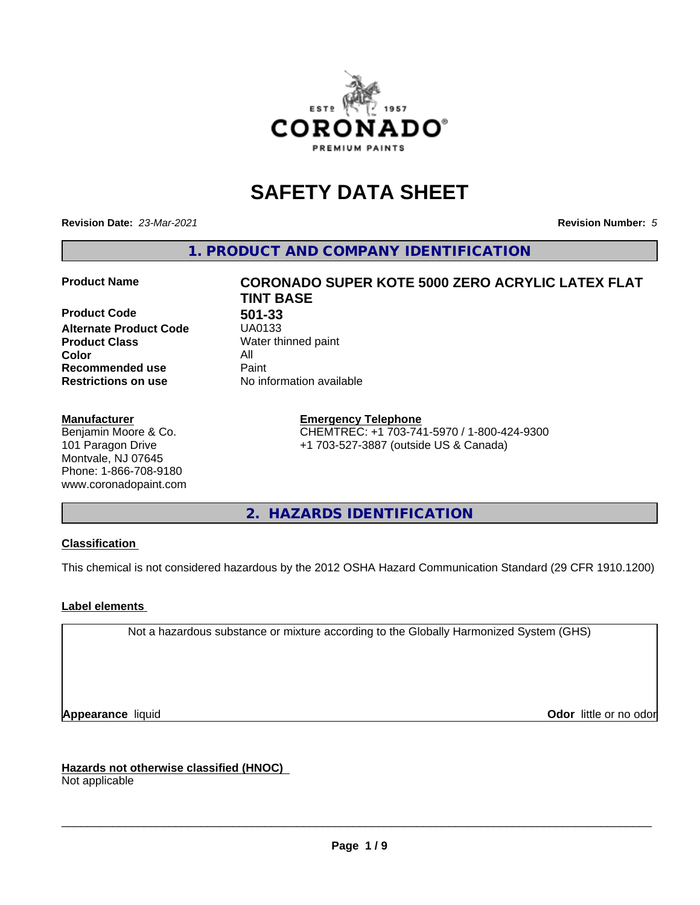

# **SAFETY DATA SHEET**

**Revision Date:** *23-Mar-2021* **Revision Number:** *5*

**1. PRODUCT AND COMPANY IDENTIFICATION**

**Product Code 501-33 Alternate Product Code Product Class** Water thinned paint<br> **Color** All **Color** All **Recommended use** Paint<br> **Restrictions on use** Mo information available **Restrictions on use** 

#### **Manufacturer**

Benjamin Moore & Co. 101 Paragon Drive Montvale, NJ 07645 Phone: 1-866-708-9180 www.coronadopaint.com

# **Product Name CORONADO SUPER KOTE 5000 ZERO ACRYLIC LATEX FLAT TINT BASE**

**Emergency Telephone** CHEMTREC: +1 703-741-5970 / 1-800-424-9300 +1 703-527-3887 (outside US & Canada)

**2. HAZARDS IDENTIFICATION**

### **Classification**

This chemical is not considered hazardous by the 2012 OSHA Hazard Communication Standard (29 CFR 1910.1200)

### **Label elements**

Not a hazardous substance or mixture according to the Globally Harmonized System (GHS)

**Appearance** liquid **Contract Contract Contract Contract Contract Contract Contract Contract Contract Contract Contract Contract Contract Contract Contract Contract Contract Contract Contract Contract Contract Contract Con** 

**Hazards not otherwise classified (HNOC)**

Not applicable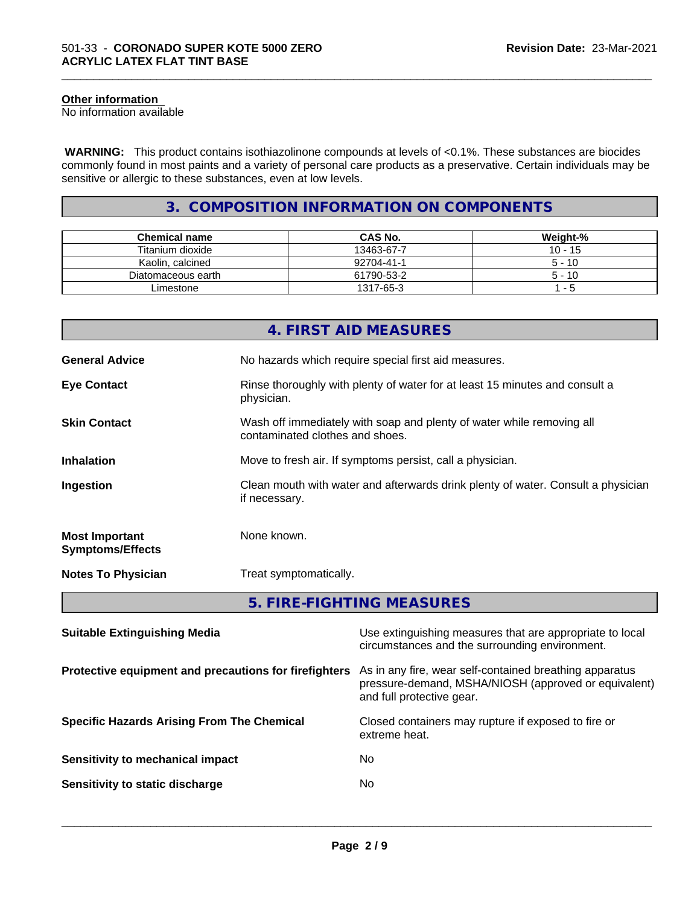#### **Other information**

No information available

 **WARNING:** This product contains isothiazolinone compounds at levels of <0.1%. These substances are biocides commonly found in most paints and a variety of personal care products as a preservative. Certain individuals may be sensitive or allergic to these substances, even at low levels.

\_\_\_\_\_\_\_\_\_\_\_\_\_\_\_\_\_\_\_\_\_\_\_\_\_\_\_\_\_\_\_\_\_\_\_\_\_\_\_\_\_\_\_\_\_\_\_\_\_\_\_\_\_\_\_\_\_\_\_\_\_\_\_\_\_\_\_\_\_\_\_\_\_\_\_\_\_\_\_\_\_\_\_\_\_\_\_\_\_\_\_\_\_

## **3. COMPOSITION INFORMATION ON COMPONENTS**

| <b>Chemical name</b> | <b>CAS No.</b> | Weight-%  |
|----------------------|----------------|-----------|
| Titanium dioxide     | 13463-67-7     | $10 - 15$ |
| Kaolin, calcined     | 92704-41-1     | $5 - 10$  |
| Diatomaceous earth   | 61790-53-2     | $5 - 10$  |
| Limestone            | 1317-65-3      | - 5       |

|                                                  | 4. FIRST AID MEASURES                                                                                      |  |  |
|--------------------------------------------------|------------------------------------------------------------------------------------------------------------|--|--|
| <b>General Advice</b>                            | No hazards which require special first aid measures.                                                       |  |  |
| <b>Eye Contact</b>                               | Rinse thoroughly with plenty of water for at least 15 minutes and consult a<br>physician.                  |  |  |
| <b>Skin Contact</b>                              | Wash off immediately with soap and plenty of water while removing all<br>contaminated clothes and shoes.   |  |  |
| <b>Inhalation</b>                                | Move to fresh air. If symptoms persist, call a physician.                                                  |  |  |
| Ingestion                                        | Clean mouth with water and afterwards drink plenty of water. Consult a physician<br>if necessary.          |  |  |
| <b>Most Important</b><br><b>Symptoms/Effects</b> | None known.                                                                                                |  |  |
| <b>Notes To Physician</b>                        | Treat symptomatically.                                                                                     |  |  |
|                                                  | 5. FIRE-FIGHTING MEASURES                                                                                  |  |  |
| <b>Suitable Extinguishing Media</b>              | Use extinguishing measures that are appropriate to local<br>circumstances and the surrounding environment. |  |  |
|                                                  |                                                                                                            |  |  |

**Protective equipment and precautions for firefighters** As in any fire, wear self-contained breathing apparatus pressure-demand, MSHA/NIOSH (approved or equivalent) and full protective gear.

extreme heat.

 $\overline{\phantom{a}}$  ,  $\overline{\phantom{a}}$  ,  $\overline{\phantom{a}}$  ,  $\overline{\phantom{a}}$  ,  $\overline{\phantom{a}}$  ,  $\overline{\phantom{a}}$  ,  $\overline{\phantom{a}}$  ,  $\overline{\phantom{a}}$  ,  $\overline{\phantom{a}}$  ,  $\overline{\phantom{a}}$  ,  $\overline{\phantom{a}}$  ,  $\overline{\phantom{a}}$  ,  $\overline{\phantom{a}}$  ,  $\overline{\phantom{a}}$  ,  $\overline{\phantom{a}}$  ,  $\overline{\phantom{a}}$ 

**Specific Hazards Arising From The Chemical Closed containers may rupture if exposed to fire or** 

| Sensitivity to mechanical impact | Nο |
|----------------------------------|----|
| Sensitivity to static discharge  | No |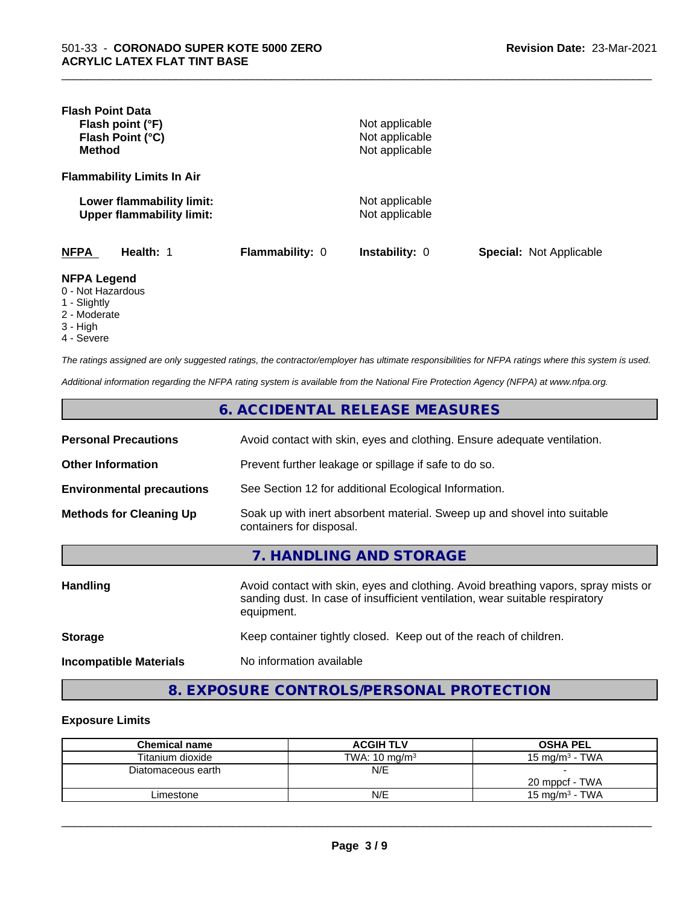| <b>Flash Point Data</b><br>Flash point (°F)<br>Flash Point (°C)<br><b>Method</b>       |                 | Not applicable<br>Not applicable<br>Not applicable |                                |
|----------------------------------------------------------------------------------------|-----------------|----------------------------------------------------|--------------------------------|
| <b>Flammability Limits In Air</b>                                                      |                 |                                                    |                                |
| Lower flammability limit:<br><b>Upper flammability limit:</b>                          |                 | Not applicable<br>Not applicable                   |                                |
| <b>NFPA</b><br>Health: 1                                                               | Flammability: 0 | <b>Instability: 0</b>                              | <b>Special: Not Applicable</b> |
| <b>NFPA Legend</b><br>0 - Not Hazardous<br>1 - Slightly<br>$\bigcap A$ and $\bigcap A$ |                 |                                                    |                                |

\_\_\_\_\_\_\_\_\_\_\_\_\_\_\_\_\_\_\_\_\_\_\_\_\_\_\_\_\_\_\_\_\_\_\_\_\_\_\_\_\_\_\_\_\_\_\_\_\_\_\_\_\_\_\_\_\_\_\_\_\_\_\_\_\_\_\_\_\_\_\_\_\_\_\_\_\_\_\_\_\_\_\_\_\_\_\_\_\_\_\_\_\_

- 2 Moderate
- 3 High
- 4 Severe

*The ratings assigned are only suggested ratings, the contractor/employer has ultimate responsibilities for NFPA ratings where this system is used.*

*Additional information regarding the NFPA rating system is available from the National Fire Protection Agency (NFPA) at www.nfpa.org.*

|                                  | 6. ACCIDENTAL RELEASE MEASURES                                                                                                                                                   |
|----------------------------------|----------------------------------------------------------------------------------------------------------------------------------------------------------------------------------|
| <b>Personal Precautions</b>      | Avoid contact with skin, eyes and clothing. Ensure adequate ventilation.                                                                                                         |
| <b>Other Information</b>         | Prevent further leakage or spillage if safe to do so.                                                                                                                            |
| <b>Environmental precautions</b> | See Section 12 for additional Ecological Information.                                                                                                                            |
| <b>Methods for Cleaning Up</b>   | Soak up with inert absorbent material. Sweep up and shovel into suitable<br>containers for disposal.                                                                             |
|                                  | 7. HANDLING AND STORAGE                                                                                                                                                          |
| <b>Handling</b>                  | Avoid contact with skin, eyes and clothing. Avoid breathing vapors, spray mists or<br>sanding dust. In case of insufficient ventilation, wear suitable respiratory<br>equipment. |
| <b>Storage</b>                   | Keep container tightly closed. Keep out of the reach of children.                                                                                                                |
| <b>Incompatible Materials</b>    | No information available                                                                                                                                                         |

# **8. EXPOSURE CONTROLS/PERSONAL PROTECTION**

#### **Exposure Limits**

| <b>Chemical name</b> | <b>ACGIH TLV</b>         | <b>OSHA PEL</b>   |
|----------------------|--------------------------|-------------------|
| Titanium dioxide     | TWA: $10 \text{ ma/m}^3$ | 15 mg/m $3$ - TWA |
| Diatomaceous earth   | N/E                      |                   |
|                      |                          | 20 mppcf - TWA    |
| ∟imestone            | N/E                      | 15 mg/m $3$ - TWA |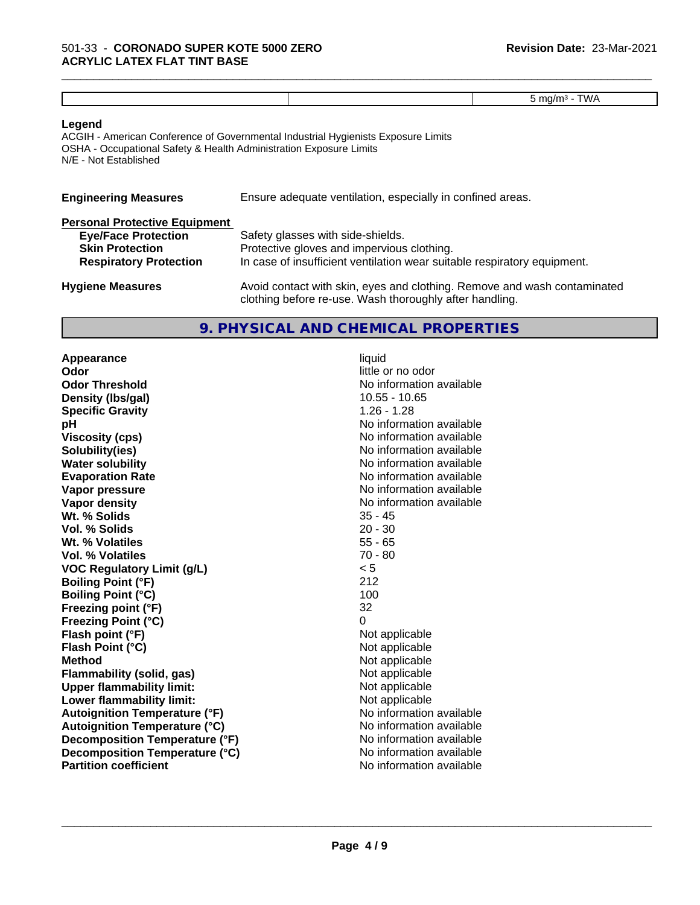\_\_\_\_\_\_\_\_\_\_\_\_\_\_\_\_\_\_\_\_\_\_\_\_\_\_\_\_\_\_\_\_\_\_\_\_\_\_\_\_\_\_\_\_\_\_\_\_\_\_\_\_\_\_\_\_\_\_\_\_\_\_\_\_\_\_\_\_\_\_\_\_\_\_\_\_\_\_\_\_\_\_\_\_\_\_\_\_\_\_\_\_\_

#### **Legend**

ACGIH - American Conference of Governmental Industrial Hygienists Exposure Limits OSHA - Occupational Safety & Health Administration Exposure Limits N/E - Not Established

| <b>Engineering Measures</b>          | Ensure adequate ventilation, especially in confined areas. |
|--------------------------------------|------------------------------------------------------------|
| <b>Personal Protective Equipment</b> |                                                            |
| <b>Eye/Face Protection</b>           | Safety glasses with side-shields.                          |

| <b>Skin Protection</b>        | Protective gloves and impervious clothing.                               |
|-------------------------------|--------------------------------------------------------------------------|
| <b>Respiratory Protection</b> | In case of insufficient ventilation wear suitable respiratory equipment. |
| <b>Hygiene Measures</b>       | Avoid contact with skin, eyes and clothing. Remove and wash contaminated |

## **9. PHYSICAL AND CHEMICAL PROPERTIES**

clothing before re-use. Wash thoroughly after handling.

**Appearance** liquid **Odor** little or no odor **Odor Threshold No information available No information available Density (Ibs/gal)** 10.55 - 10.65 **Specific Gravity** 1.26 - 1.28 **pH pH**  $\blacksquare$ **Viscosity (cps)** No information available **Solubility(ies)** No information available **Water solubility Water solubility Water solubility Water solubility Water solubility Water solution Evaporation Rate No information available No information available Vapor pressure** No information available **Vapor density Vapor** density **Wt. % Solids** 35 - 45 **Vol. % Solids** 20 - 30<br> **Wt. % Volatiles** 20 - 30 **Wt. % Volatiles Vol. % Volatiles** 70 - 80 **VOC Regulatory Limit (g/L)** < 5 **Boiling Point (°F)** 212 **Boiling Point (°C)** 100 **Freezing point (°F)** 32 **Freezing Point (°C)**<br> **Flash point (°F)**<br> **Flash point (°F)**<br> **Point (°F)**<br> **Point (°F)**<br> **Point (°F)**<br> **Point (°F) Flash point (°F)**<br> **Flash Point (°C)**<br> **Flash Point (°C)**<br> **C Flash Point (°C) Method**<br> **Flammability (solid, gas)**<br> **Example 2018** Not applicable **Flammability (solid, gas)** Not applicable<br> **Upper flammability limit:** Not applicable **Upper flammability limit:**<br> **Lower flammability limit:**<br>
Not applicable<br>
Not applicable **Lower flammability limit: Autoignition Temperature (°F)** No information available **Autoignition Temperature (°C)** No information available **Decomposition Temperature (°F)** No information available **Decomposition Temperature (°C)** No information available **Partition coefficient** No information available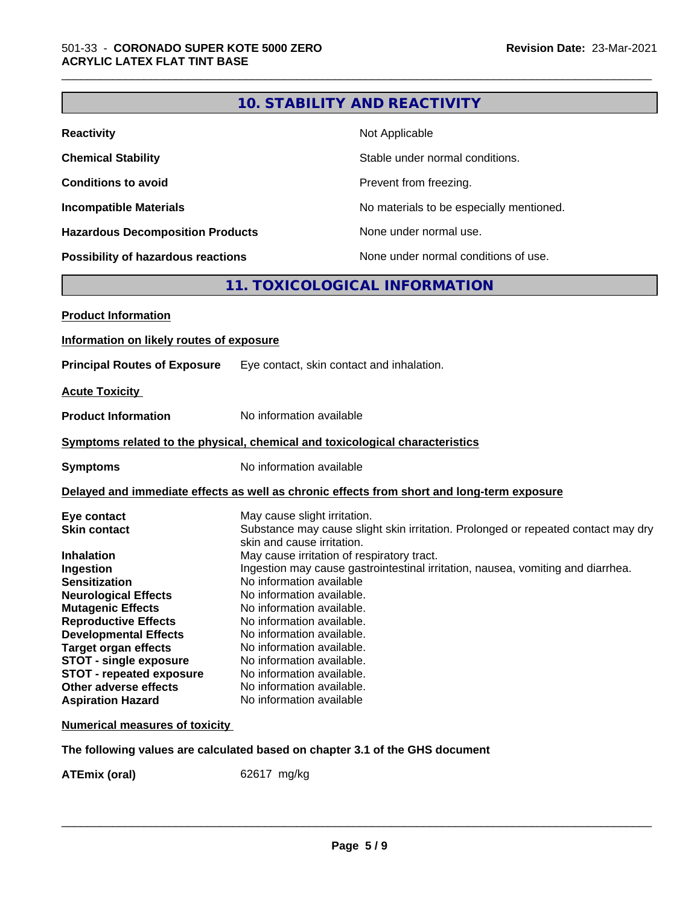|                                                                              |                                 | <b>10. STABILITY AND REACTIVITY</b>                                                                                           |  |
|------------------------------------------------------------------------------|---------------------------------|-------------------------------------------------------------------------------------------------------------------------------|--|
| <b>Reactivity</b>                                                            |                                 | Not Applicable                                                                                                                |  |
| <b>Chemical Stability</b>                                                    | Stable under normal conditions. |                                                                                                                               |  |
| <b>Conditions to avoid</b>                                                   | Prevent from freezing.          |                                                                                                                               |  |
| <b>Incompatible Materials</b>                                                |                                 | No materials to be especially mentioned.                                                                                      |  |
| <b>Hazardous Decomposition Products</b>                                      |                                 | None under normal use.                                                                                                        |  |
| Possibility of hazardous reactions                                           |                                 | None under normal conditions of use.                                                                                          |  |
|                                                                              |                                 | 11. TOXICOLOGICAL INFORMATION                                                                                                 |  |
| <b>Product Information</b>                                                   |                                 |                                                                                                                               |  |
| Information on likely routes of exposure                                     |                                 |                                                                                                                               |  |
| <b>Principal Routes of Exposure</b>                                          |                                 | Eye contact, skin contact and inhalation.                                                                                     |  |
| <b>Acute Toxicity</b>                                                        |                                 |                                                                                                                               |  |
| <b>Product Information</b>                                                   | No information available        |                                                                                                                               |  |
| Symptoms related to the physical, chemical and toxicological characteristics |                                 |                                                                                                                               |  |
| <b>Symptoms</b>                                                              | No information available        |                                                                                                                               |  |
|                                                                              |                                 | Delayed and immediate effects as well as chronic effects from short and long-term exposure                                    |  |
| Eye contact                                                                  | May cause slight irritation.    |                                                                                                                               |  |
| <b>Skin contact</b>                                                          |                                 | Substance may cause slight skin irritation. Prolonged or repeated contact may dry                                             |  |
|                                                                              | skin and cause irritation.      |                                                                                                                               |  |
| <b>Inhalation</b><br>Ingestion                                               |                                 | May cause irritation of respiratory tract.<br>Ingestion may cause gastrointestinal irritation, nausea, vomiting and diarrhea. |  |
| <b>Sensitization</b>                                                         | No information available        |                                                                                                                               |  |
| <b>Neurological Effects</b>                                                  | No information available.       |                                                                                                                               |  |
| <b>Mutagenic Effects</b>                                                     | No information available.       |                                                                                                                               |  |
| <b>Reproductive Effects</b>                                                  | No information available.       |                                                                                                                               |  |
| <b>Developmental Effects</b>                                                 | No information available.       |                                                                                                                               |  |
| <b>Target organ effects</b>                                                  | No information available.       |                                                                                                                               |  |
| <b>STOT - single exposure</b>                                                | No information available.       |                                                                                                                               |  |
| <b>STOT - repeated exposure</b>                                              | No information available.       |                                                                                                                               |  |
| Other adverse effects                                                        | No information available.       |                                                                                                                               |  |
| <b>Aspiration Hazard</b>                                                     | No information available        |                                                                                                                               |  |
| <b>Numerical measures of toxicity</b>                                        |                                 |                                                                                                                               |  |
|                                                                              |                                 | The following values are calculated based on chapter 3.1 of the GHS document                                                  |  |

**ATEmix (oral)** 62617 mg/kg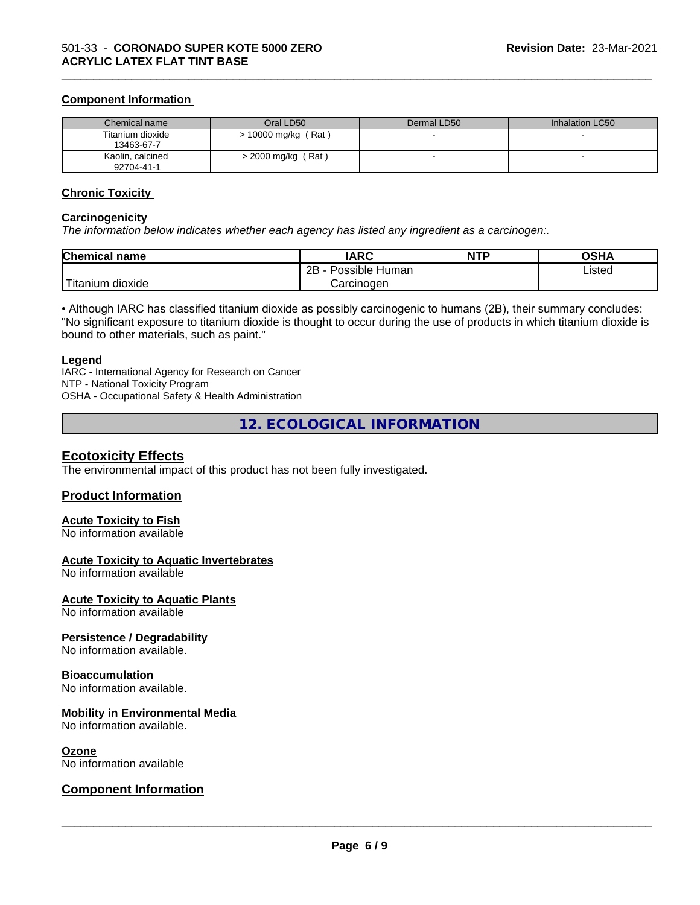#### **Component Information**

| Chemical name                  | Oral LD50            | Dermal LD50 | Inhalation LC50 |
|--------------------------------|----------------------|-------------|-----------------|
| Titanium dioxide<br>13463-67-7 | > 10000 mg/kg (Rat)  |             |                 |
| Kaolin, calcined<br>92704-41-1 | $>$ 2000 mg/kg (Rat) |             |                 |

\_\_\_\_\_\_\_\_\_\_\_\_\_\_\_\_\_\_\_\_\_\_\_\_\_\_\_\_\_\_\_\_\_\_\_\_\_\_\_\_\_\_\_\_\_\_\_\_\_\_\_\_\_\_\_\_\_\_\_\_\_\_\_\_\_\_\_\_\_\_\_\_\_\_\_\_\_\_\_\_\_\_\_\_\_\_\_\_\_\_\_\_\_

#### **Chronic Toxicity**

#### **Carcinogenicity**

*The information below indicateswhether each agency has listed any ingredient as a carcinogen:.*

| <b>Chemical name</b>             | <b>IARC</b>               | <b>NTP</b> | <b>OSHA</b> |
|----------------------------------|---------------------------|------------|-------------|
|                                  | Possible<br>2B<br>· Human |            | Listed      |
| .<br>. dioxide<br><b>itanium</b> | Carcinoɑen                |            |             |

• Although IARC has classified titanium dioxide as possibly carcinogenic to humans (2B), their summary concludes: "No significant exposure to titanium dioxide is thought to occur during the use of products in which titanium dioxide is bound to other materials, such as paint."

#### **Legend**

IARC - International Agency for Research on Cancer NTP - National Toxicity Program OSHA - Occupational Safety & Health Administration

**12. ECOLOGICAL INFORMATION**

### **Ecotoxicity Effects**

The environmental impact of this product has not been fully investigated.

#### **Product Information**

#### **Acute Toxicity to Fish**

No information available

#### **Acute Toxicity to Aquatic Invertebrates**

No information available

#### **Acute Toxicity to Aquatic Plants**

No information available

#### **Persistence / Degradability**

No information available.

#### **Bioaccumulation**

No information available.

#### **Mobility in Environmental Media**

No information available.

#### **Ozone**

No information available

### **Component Information**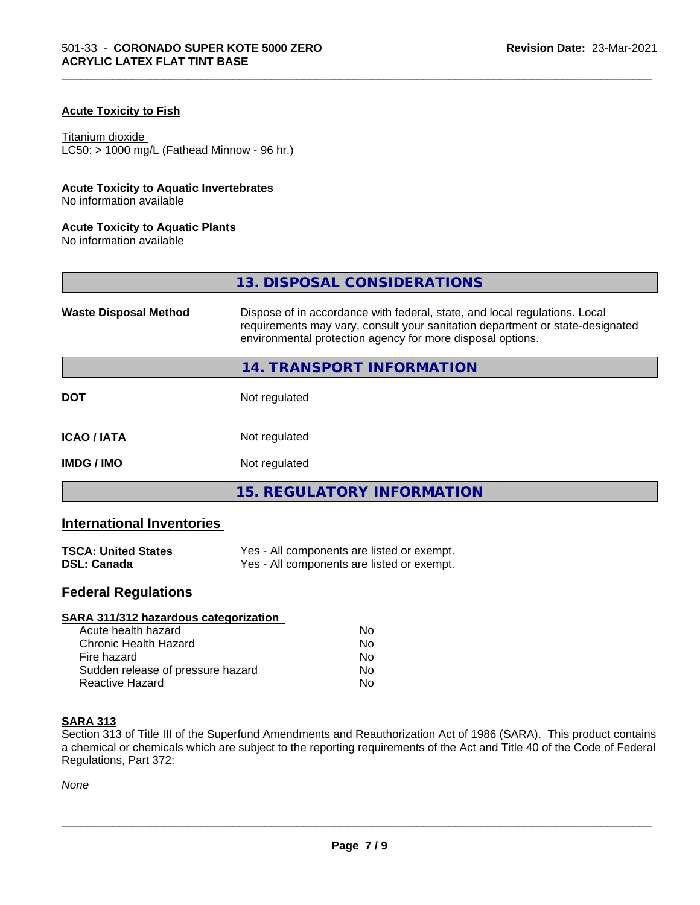### **Acute Toxicity to Fish**

#### Titanium dioxide

 $LC50:$  > 1000 mg/L (Fathead Minnow - 96 hr.)

#### **Acute Toxicity to Aquatic Invertebrates**

No information available

#### **Acute Toxicity to Aquatic Plants**

No information available

|                              | 13. DISPOSAL CONSIDERATIONS                                                                                                                                                                                               |  |
|------------------------------|---------------------------------------------------------------------------------------------------------------------------------------------------------------------------------------------------------------------------|--|
| <b>Waste Disposal Method</b> | Dispose of in accordance with federal, state, and local regulations. Local<br>requirements may vary, consult your sanitation department or state-designated<br>environmental protection agency for more disposal options. |  |
|                              | 14. TRANSPORT INFORMATION                                                                                                                                                                                                 |  |
| <b>DOT</b>                   | Not regulated                                                                                                                                                                                                             |  |
| <b>ICAO/IATA</b>             | Not regulated                                                                                                                                                                                                             |  |
| <b>IMDG / IMO</b>            | Not regulated                                                                                                                                                                                                             |  |
|                              | <b>15. REGULATORY INFORMATION</b>                                                                                                                                                                                         |  |

\_\_\_\_\_\_\_\_\_\_\_\_\_\_\_\_\_\_\_\_\_\_\_\_\_\_\_\_\_\_\_\_\_\_\_\_\_\_\_\_\_\_\_\_\_\_\_\_\_\_\_\_\_\_\_\_\_\_\_\_\_\_\_\_\_\_\_\_\_\_\_\_\_\_\_\_\_\_\_\_\_\_\_\_\_\_\_\_\_\_\_\_\_

# **International Inventories**

| <b>TSCA: United States</b> | Yes - All components are listed or exempt. |
|----------------------------|--------------------------------------------|
| <b>DSL: Canada</b>         | Yes - All components are listed or exempt. |

# **Federal Regulations**

| SARA 311/312 hazardous categorization |    |  |
|---------------------------------------|----|--|
| Acute health hazard                   | Nο |  |
| Chronic Health Hazard                 | No |  |
| Fire hazard                           | Nο |  |
| Sudden release of pressure hazard     | No |  |
| Reactive Hazard                       | No |  |

#### **SARA 313**

Section 313 of Title III of the Superfund Amendments and Reauthorization Act of 1986 (SARA). This product contains a chemical or chemicals which are subject to the reporting requirements of the Act and Title 40 of the Code of Federal Regulations, Part 372:

*None*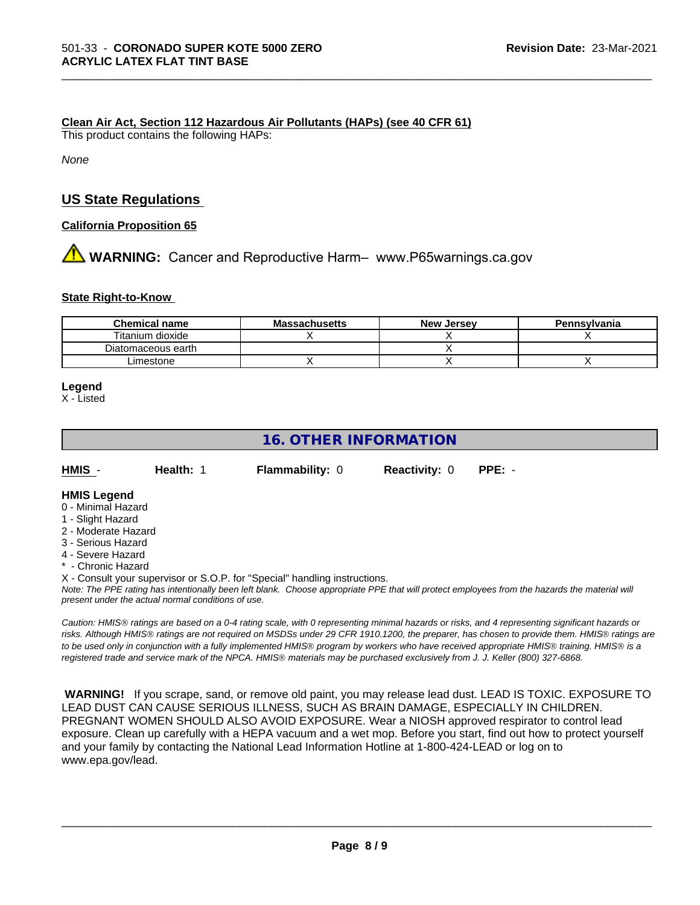#### **Clean Air Act,Section 112 Hazardous Air Pollutants (HAPs) (see 40 CFR 61)**

This product contains the following HAPs:

*None*

# **US State Regulations**

**California Proposition 65**

# **A** WARNING: Cancer and Reproductive Harm– www.P65warnings.ca.gov

#### **State Right-to-Know**

| <b>Chemical name</b> | <b>Massachusetts</b> | <b>New Jersey</b> | Pennsylvania |
|----------------------|----------------------|-------------------|--------------|
| Titanium dioxide     |                      |                   |              |
| Diatomaceous earth   |                      |                   |              |
| Limestone            |                      |                   |              |

\_\_\_\_\_\_\_\_\_\_\_\_\_\_\_\_\_\_\_\_\_\_\_\_\_\_\_\_\_\_\_\_\_\_\_\_\_\_\_\_\_\_\_\_\_\_\_\_\_\_\_\_\_\_\_\_\_\_\_\_\_\_\_\_\_\_\_\_\_\_\_\_\_\_\_\_\_\_\_\_\_\_\_\_\_\_\_\_\_\_\_\_\_

#### **Legend**

X - Listed

# **16. OTHER INFORMATION**

| HMIS | Health: 1 | <b>Flammability: 0</b> | <b>Reactivity: 0</b> | PPE: - |
|------|-----------|------------------------|----------------------|--------|
|      |           |                        |                      |        |

#### **HMIS Legend**

- 0 Minimal Hazard
- 1 Slight Hazard
- 2 Moderate Hazard
- 3 Serious Hazard
- 4 Severe Hazard
- \* Chronic Hazard

X - Consult your supervisor or S.O.P. for "Special" handling instructions.

*Note: The PPE rating has intentionally been left blank. Choose appropriate PPE that will protect employees from the hazards the material will present under the actual normal conditions of use.*

*Caution: HMISÒ ratings are based on a 0-4 rating scale, with 0 representing minimal hazards or risks, and 4 representing significant hazards or risks. Although HMISÒ ratings are not required on MSDSs under 29 CFR 1910.1200, the preparer, has chosen to provide them. HMISÒ ratings are to be used only in conjunction with a fully implemented HMISÒ program by workers who have received appropriate HMISÒ training. HMISÒ is a registered trade and service mark of the NPCA. HMISÒ materials may be purchased exclusively from J. J. Keller (800) 327-6868.*

 **WARNING!** If you scrape, sand, or remove old paint, you may release lead dust. LEAD IS TOXIC. EXPOSURE TO LEAD DUST CAN CAUSE SERIOUS ILLNESS, SUCH AS BRAIN DAMAGE, ESPECIALLY IN CHILDREN. PREGNANT WOMEN SHOULD ALSO AVOID EXPOSURE.Wear a NIOSH approved respirator to control lead exposure. Clean up carefully with a HEPA vacuum and a wet mop. Before you start, find out how to protect yourself and your family by contacting the National Lead Information Hotline at 1-800-424-LEAD or log on to www.epa.gov/lead.